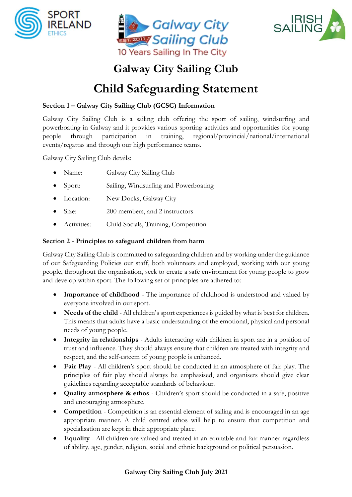





# **Galway City Sailing Club**

# **Child Safeguarding Statement**

# **Section 1 – Galway City Sailing Club (GCSC) Information**

Galway City Sailing Club is a sailing club offering the sport of sailing, windsurfing and powerboating in Galway and it provides various sporting activities and opportunities for young people through participation in training, regional/provincial/national/international events/regattas and through our high performance teams.

Galway City Sailing Club details:

- Name: Galway City Sailing Club
- Sport: Sailing, Windsurfing and Powerboating
- Location: New Docks, Galway City
- Size: 200 members, and 2 instructors
- Activities: Child Socials, Training, Competition

# **Section 2 - Principles to safeguard children from harm**

Galway City Sailing Club is committed to safeguarding children and by working under the guidance of our Safeguarding Policies our staff, both volunteers and employed, working with our young people, throughout the organisation, seek to create a safe environment for young people to grow and develop within sport. The following set of principles are adhered to:

- **Importance of childhood** The importance of childhood is understood and valued by everyone involved in our sport.
- **Needs of the child** All children's sport experiences is guided by what is best for children. This means that adults have a basic understanding of the emotional, physical and personal needs of young people.
- **Integrity in relationships** Adults interacting with children in sport are in a position of trust and influence. They should always ensure that children are treated with integrity and respect, and the self-esteem of young people is enhanced.
- **Fair Play** All children's sport should be conducted in an atmosphere of fair play. The principles of fair play should always be emphasised, and organisers should give clear guidelines regarding acceptable standards of behaviour.
- **Quality atmosphere & ethos** Children's sport should be conducted in a safe, positive and encouraging atmosphere.
- **Competition** Competition is an essential element of sailing and is encouraged in an age appropriate manner. A child centred ethos will help to ensure that competition and specialisation are kept in their appropriate place.
- **Equality** All children are valued and treated in an equitable and fair manner regardless of ability, age, gender, religion, social and ethnic background or political persuasion.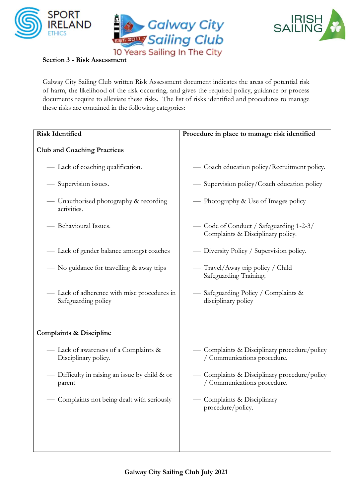





Galway City Sailing Club written Risk Assessment document indicates the areas of potential risk of harm, the likelihood of the risk occurring, and gives the required policy, guidance or process documents require to alleviate these risks.The list of risks identified and procedures to manage these risks are contained in the following categories:

| <b>Risk Identified</b>                                             | Procedure in place to manage risk identified                                 |
|--------------------------------------------------------------------|------------------------------------------------------------------------------|
| <b>Club and Coaching Practices</b>                                 |                                                                              |
| — Lack of coaching qualification.                                  | - Coach education policy/Recruitment policy.                                 |
| — Supervision issues.                                              | — Supervision policy/Coach education policy                                  |
| — Unauthorised photography & recording<br>activities.              | — Photography & Use of Images policy                                         |
| - Behavioural Issues.                                              | — Code of Conduct / Safeguarding 1-2-3/<br>Complaints & Disciplinary policy. |
| - Lack of gender balance amongst coaches                           | — Diversity Policy / Supervision policy.                                     |
| — No guidance for travelling & away trips                          | — Travel/Away trip policy / Child<br>Safeguarding Training.                  |
| - Lack of adherence with misc procedures in<br>Safeguarding policy | — Safeguarding Policy / Complaints &<br>disciplinary policy                  |
| <b>Complaints &amp; Discipline</b>                                 |                                                                              |
| - Lack of awareness of a Complaints &<br>Disciplinary policy.      | - Complaints & Disciplinary procedure/policy<br>/ Communications procedure.  |
| — Difficulty in raising an issue by child & or<br>parent           | - Complaints & Disciplinary procedure/policy<br>/ Communications procedure.  |
| Complaints not being dealt with seriously                          | Complaints & Disciplinary<br>procedure/policy.                               |
|                                                                    |                                                                              |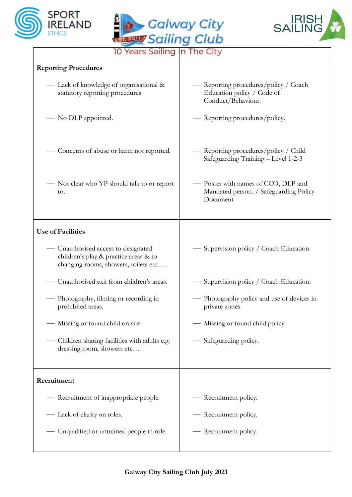





|  |  | 10 Years Sailing In The City |  |
|--|--|------------------------------|--|
|  |  |                              |  |

| <b>Reporting Procedures</b>                                                                                          |                                                                                           |
|----------------------------------------------------------------------------------------------------------------------|-------------------------------------------------------------------------------------------|
| — Lack of knowledge of organisational &<br>statutory reporting procedures                                            | — Reporting procedures/policy / Coach<br>Education policy / Code of<br>Conduct/Behaviour. |
| — No DLP appointed.                                                                                                  | — Reporting procedures/policy.                                                            |
| - Concerns of abuse or harm not reported.                                                                            | — Reporting procedures/policy / Child<br>Safeguarding Training - Level 1-2-3              |
| — Not clear who YP should talk to or report<br>to.                                                                   | - Poster with names of CCO, DLP and<br>Mandated person. / Safeguarding Policy<br>Document |
| <b>Use of Facilities</b>                                                                                             |                                                                                           |
| - Unauthorised access to designated<br>children's play & practice areas & to<br>changing rooms, showers, toilets etc | — Supervision policy / Coach Education.                                                   |
| - Unauthorised exit from children's areas.                                                                           | — Supervision policy / Coach Education.                                                   |
| - Photography, filming or recording in<br>prohibited areas.                                                          | — Photography policy and use of devices in<br>private zones.                              |
| — Missing or found child on site.                                                                                    | - Missing or found child policy.                                                          |
| Children sharing facilities with adults e.g.<br>dressing room, showers etc                                           | - Safeguarding policy.                                                                    |
| Recruitment                                                                                                          |                                                                                           |
| - Recruitment of inappropriate people.                                                                               | — Recruitment policy.                                                                     |
| — Lack of clarity on roles.                                                                                          | — Recruitment policy.                                                                     |
| — Unqualified or untrained people in role.                                                                           | - Recruitment policy.                                                                     |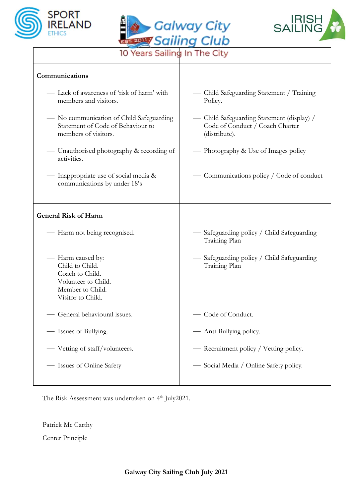





10 Years Sailing In The City

| Communications                                                                                                          |                                                                                                |
|-------------------------------------------------------------------------------------------------------------------------|------------------------------------------------------------------------------------------------|
| - Lack of awareness of 'risk of harm' with<br>members and visitors.                                                     | — Child Safeguarding Statement / Training<br>Policy.                                           |
| — No communication of Child Safeguarding<br>Statement of Code of Behaviour to<br>members of visitors.                   | — Child Safeguarding Statement (display) /<br>Code of Conduct / Coach Charter<br>(distribute). |
| — Unauthorised photography & recording of<br>activities.                                                                | — Photography & Use of Images policy                                                           |
| — Inappropriate use of social media &<br>communications by under 18's                                                   | Communications policy / Code of conduct                                                        |
| <b>General Risk of Harm</b>                                                                                             |                                                                                                |
| - Harm not being recognised.                                                                                            | — Safeguarding policy / Child Safeguarding<br>Training Plan                                    |
| — Harm caused by:<br>Child to Child.<br>Coach to Child.<br>Volunteer to Child.<br>Member to Child.<br>Visitor to Child. | — Safeguarding policy / Child Safeguarding<br>Training Plan                                    |
| General behavioural issues.                                                                                             | - Code of Conduct.                                                                             |
| Issues of Bullying.                                                                                                     | Anti-Bullying policy.                                                                          |
| Vetting of staff/volunteers.                                                                                            | - Recruitment policy / Vetting policy.                                                         |
| - Issues of Online Safety                                                                                               | — Social Media / Online Safety policy.                                                         |

The Risk Assessment was undertaken on 4<sup>th</sup> July2021.

Patrick Mc Carthy

Center Principle